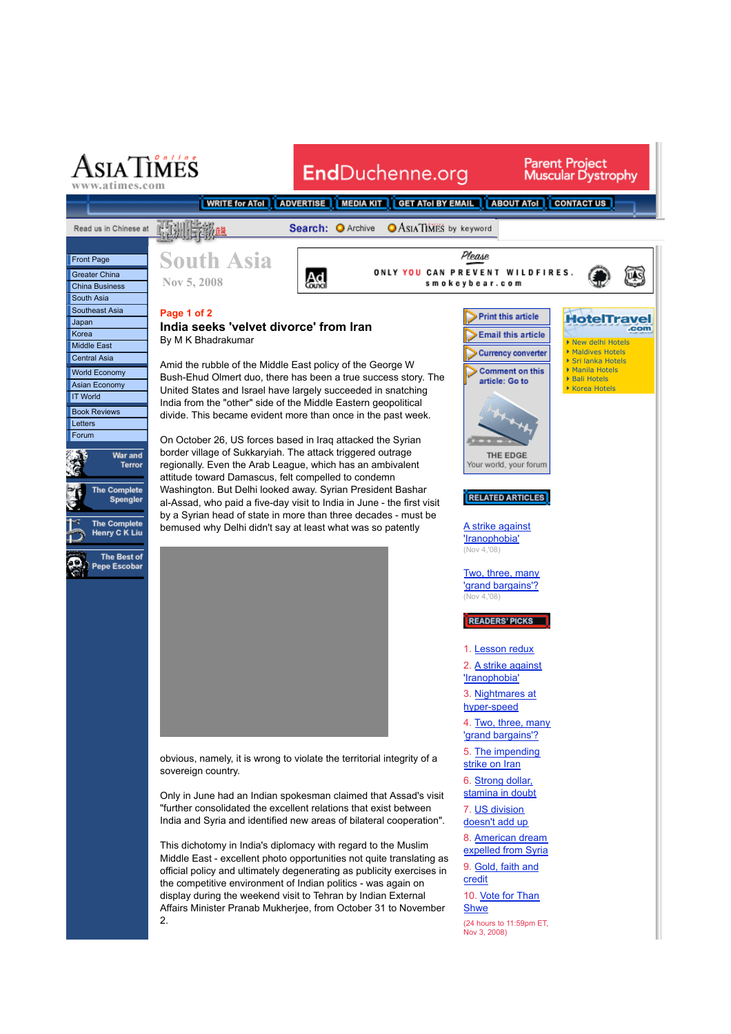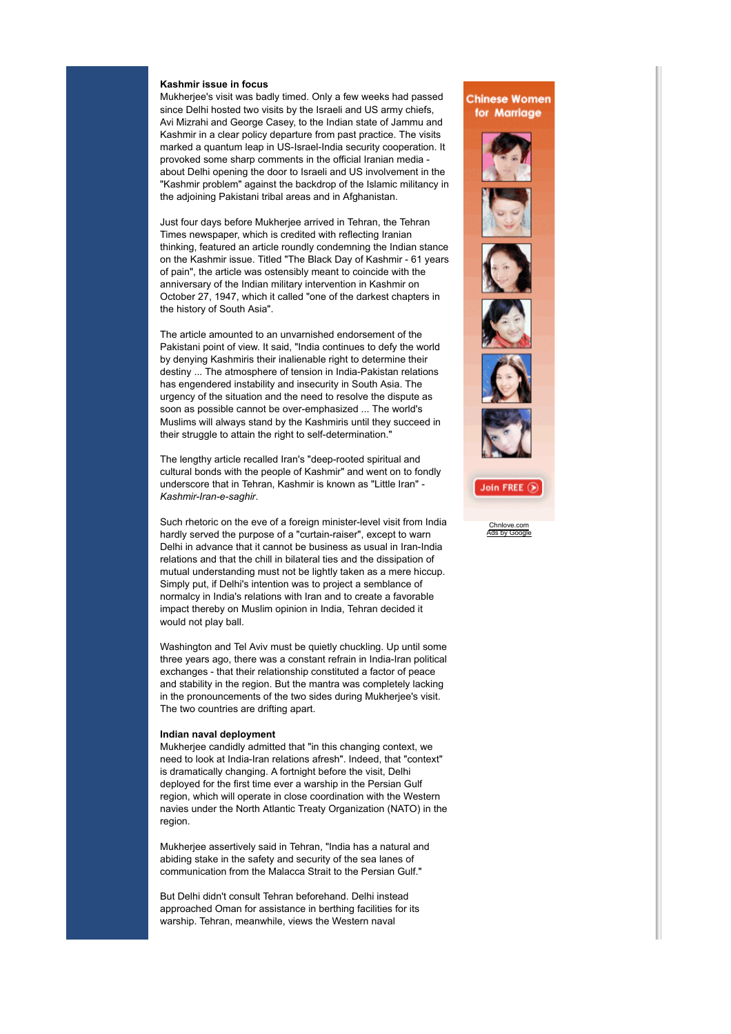## **Kashmir issue in focus**

Mukherjee's visit was badly timed. Only a few weeks had passed since Delhi hosted two visits by the Israeli and US army chiefs, Avi Mizrahi and George Casey, to the Indian state of Jammu and Kashmir in a clear policy departure from past practice. The visits marked a quantum leap in US-Israel-India security cooperation. It provoked some sharp comments in the official Iranian media about Delhi opening the door to Israeli and US involvement in the "Kashmir problem" against the backdrop of the Islamic militancy in the adjoining Pakistani tribal areas and in Afghanistan.

Just four days before Mukherjee arrived in Tehran, the Tehran Times newspaper, which is credited with reflecting Iranian thinking, featured an article roundly condemning the Indian stance on the Kashmir issue. Titled "The Black Day of Kashmir - 61 years of pain", the article was ostensibly meant to coincide with the anniversary of the Indian military intervention in Kashmir on October 27, 1947, which it called "one of the darkest chapters in the history of South Asia".

The article amounted to an unvarnished endorsement of the Pakistani point of view. It said, "India continues to defy the world by denying Kashmiris their inalienable right to determine their destiny ... The atmosphere of tension in India-Pakistan relations has engendered instability and insecurity in South Asia. The urgency of the situation and the need to resolve the dispute as soon as possible cannot be over-emphasized ... The world's Muslims will always stand by the Kashmiris until they succeed in their struggle to attain the right to self-determination."

The lengthy article recalled Iran's "deep-rooted spiritual and cultural bonds with the people of Kashmir" and went on to fondly underscore that in Tehran, Kashmir is known as "Little Iran" - *Kashmir-Iran-e-saghir*.

Such rhetoric on the eve of a foreign minister-level visit from India hardly served the purpose of a "curtain-raiser", except to warn Delhi in advance that it cannot be business as usual in Iran-India relations and that the chill in bilateral ties and the dissipation of mutual understanding must not be lightly taken as a mere hiccup. Simply put, if Delhi's intention was to project a semblance of normalcy in India's relations with Iran and to create a favorable impact thereby on Muslim opinion in India, Tehran decided it would not play ball.

Washington and Tel Aviv must be quietly chuckling. Up until some three years ago, there was a constant refrain in India-Iran political exchanges - that their relationship constituted a factor of peace and stability in the region. But the mantra was completely lacking in the pronouncements of the two sides during Mukherjee's visit. The two countries are drifting apart.

## **Indian naval deployment**

Mukherjee candidly admitted that "in this changing context, we need to look at India-Iran relations afresh". Indeed, that "context" is dramatically changing. A fortnight before the visit, Delhi deployed for the first time ever a warship in the Persian Gulf region, which will operate in close coordination with the Western navies under the North Atlantic Treaty Organization (NATO) in the region.

Mukherjee assertively said in Tehran, "India has a natural and abiding stake in the safety and security of the sea lanes of communication from the Malacca Strait to the Persian Gulf."

But Delhi didn't consult Tehran beforehand. Delhi instead approached Oman for assistance in berthing facilities for its warship. Tehran, meanwhile, views the Western naval

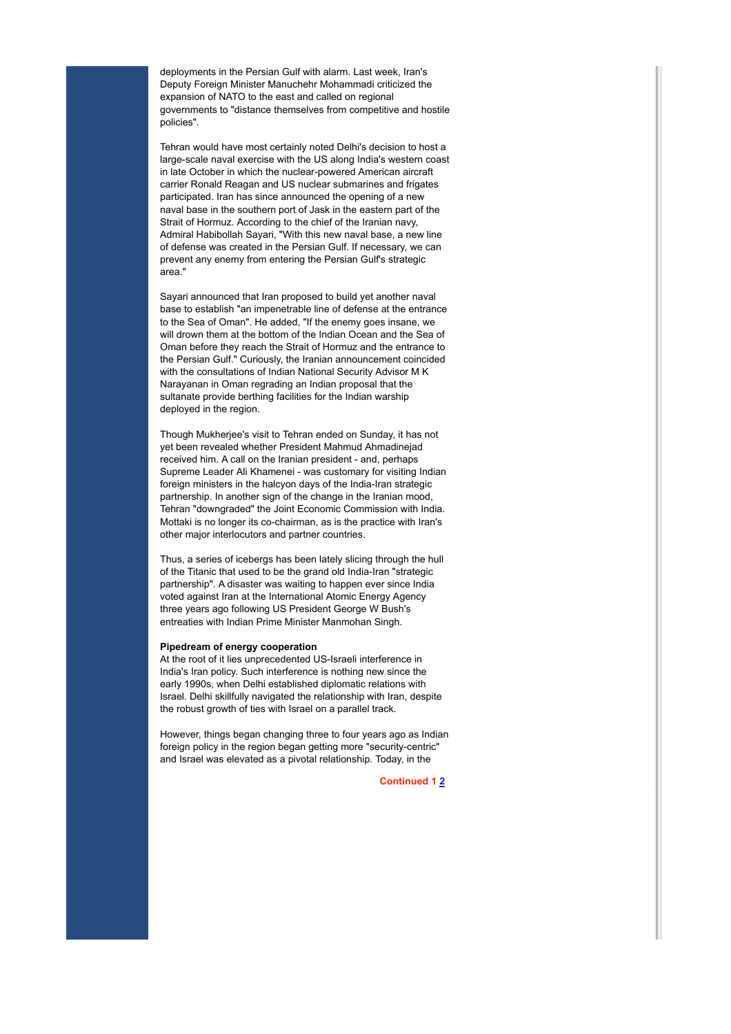deployments in the Persian Gulf with alarm. Last week, Iran's Deputy Foreign Minister Manuchehr Mohammadi criticized the expansion of NATO to the east and called on regional governments to "distance themselves from competitive and hostile policies".

Tehran would have most certainly noted Delhi's decision to host a large-scale naval exercise with the US along India's western coast in late October in which the nuclear-powered American aircraft carrier Ronald Reagan and US nuclear submarines and frigates participated. Iran has since announced the opening of a new naval base in the southern port of Jask in the eastern part of the Strait of Hormuz. According to the chief of the Iranian navy, Admiral Habibollah Sayari, "With this new naval base, a new line of defense was created in the Persian Gulf. If necessary, we can prevent any enemy from entering the Persian Gulf's strategic area."

Sayari announced that Iran proposed to build yet another naval base to establish "an impenetrable line of defense at the entrance to the Sea of Oman". He added, "If the enemy goes insane, we will drown them at the bottom of the Indian Ocean and the Sea of Oman before they reach the Strait of Hormuz and the entrance to the Persian Gulf." Curiously, the Iranian announcement coincided with the consultations of Indian National Security Advisor M K Narayanan in Oman regrading an Indian proposal that the sultanate provide berthing facilities for the Indian warship deployed in the region.

Though Mukherjee's visit to Tehran ended on Sunday, it has not yet been revealed whether President Mahmud Ahmadinejad received him. A call on the Iranian president - and, perhaps Supreme Leader Ali Khamenei - was customary for visiting Indian foreign ministers in the halcyon days of the India-Iran strategic partnership. In another sign of the change in the Iranian mood, Tehran "downgraded" the Joint Economic Commission with India. Mottaki is no longer its co-chairman, as is the practice with Iran's other major interlocutors and partner countries.

Thus, a series of icebergs has been lately slicing through the hull of the Titanic that used to be the grand old India-Iran "strategic partnership". A disaster was waiting to happen ever since India voted against Iran at the International Atomic Energy Agency three years ago following US President George W Bush's entreaties with Indian Prime Minister Manmohan Singh.

## **Pipedream of energy cooperation**

At the root of it lies unprecedented US-Israeli interference in India's Iran policy. Such interference is nothing new since the early 1990s, when Delhi established diplomatic relations with Israel. Delhi skillfully navigated the relationship with Iran, despite the robust growth of ties with Israel on a parallel track.

However, things began changing three to four years ago as Indian foreign policy in the region began getting more "security-centric" and Israel was elevated as a pivotal relationship. Today, in the

**Continued 1 2**